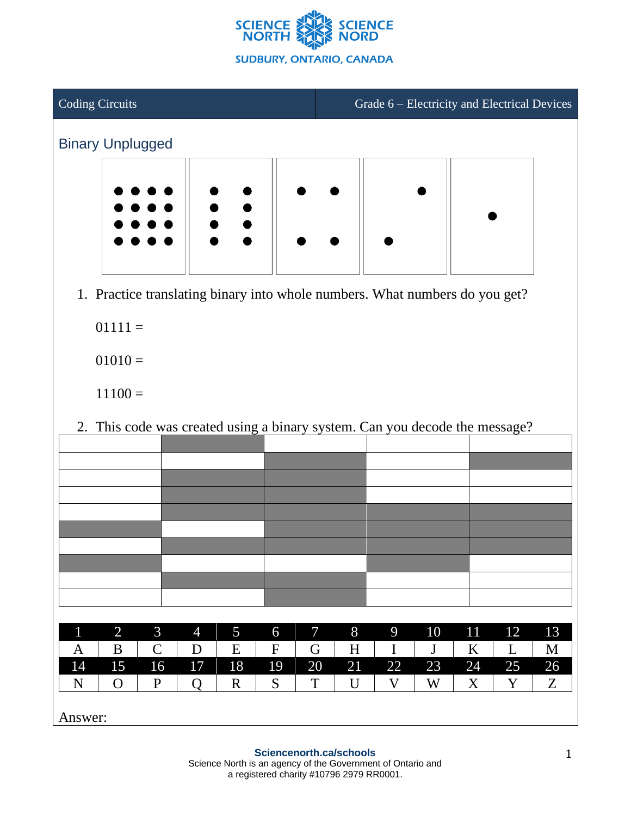



1. Practice translating binary into whole numbers. What numbers do you get?

 $01111 =$ 

 $01010 =$ 

 $11100 =$ 

2. This code was created using a binary system. Can you decode the message?

|             |                |               |                | ◡           |             |    |    |    |    |    |    |    |
|-------------|----------------|---------------|----------------|-------------|-------------|----|----|----|----|----|----|----|
|             |                |               |                |             |             |    |    |    |    |    |    |    |
|             |                |               |                |             |             |    |    |    |    |    |    |    |
|             |                |               |                |             |             |    |    |    |    |    |    |    |
|             |                |               |                |             |             |    |    |    |    |    |    |    |
|             |                |               |                |             |             |    |    |    |    |    |    |    |
|             |                |               |                |             |             |    |    |    |    |    |    |    |
|             |                |               |                |             |             |    |    |    |    |    |    |    |
|             |                |               |                |             |             |    |    |    |    |    |    |    |
|             |                |               |                |             |             |    |    |    |    |    |    |    |
|             |                |               |                |             |             |    |    |    |    |    |    |    |
|             |                |               |                |             |             |    |    |    |    |    |    |    |
| $\mathbf 1$ | $\overline{2}$ | 3             | $\overline{4}$ | 5           | 6           | 7  | 8  | 9  | 10 | 11 | 12 | 13 |
| A           | B              | $\mathcal{C}$ | D              | E           | $\mathbf F$ | G  | H  | I  | J  | K  | L  | M  |
| 14          | 15             | 16            | 17             | 18          | 19          | 20 | 21 | 22 | 23 | 24 | 25 | 26 |
| N           | $\mathbf{O}$   | $\mathbf P$   | Q              | $\mathbf R$ | S           | T  | U  | V  | W  | X  | Y  | Z  |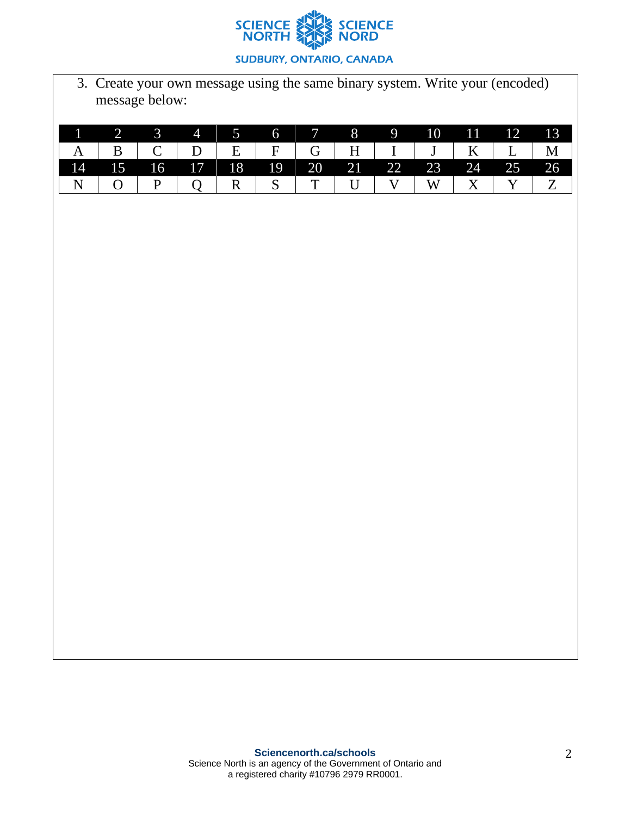

3. Create your own message using the same binary system. Write your (encoded) message below:

|                                                                                         | $1 \t2 \t3 \t4 \t5 \t6 \t7 \t8 \t9 \t10 \t11 \t12 \t13$ |  |  |  |  |  |  |
|-----------------------------------------------------------------------------------------|---------------------------------------------------------|--|--|--|--|--|--|
| $A \mid B \mid C \mid D \mid E \mid F \mid G \mid H \mid I \mid J \mid K \mid L \mid M$ |                                                         |  |  |  |  |  |  |
|                                                                                         | 14 15 16 17 18 19 20 21 22 23 24 25 26                  |  |  |  |  |  |  |
| $  N   O   P   Q   R   S   T   U   V   W   X   Y   Z$                                   |                                                         |  |  |  |  |  |  |